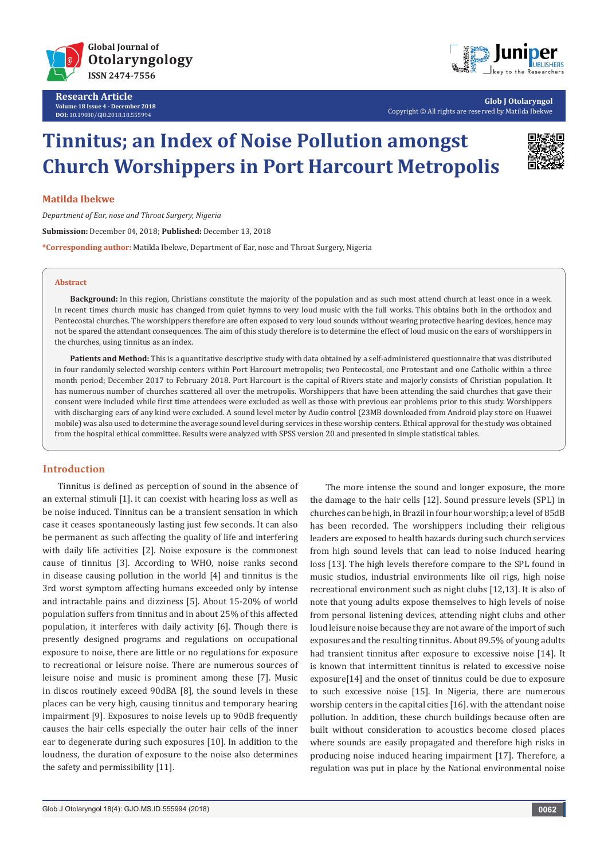

**Research Article Volume 18 Issue 4 - December 2018 DOI:** [10.19080/GJO.2018.18.555994](http://dx.doi.org/10.19080/GJO.2018.18.555994)



**Glob J Otolaryngol** Copyright © All rights are reserved by Matilda Ibekwe

# **Tinnitus; an Index of Noise Pollution amongst Church Worshippers in Port Harcourt Metropolis**



#### **Matilda Ibekwe**

*Department of Ear, nose and Throat Surgery, Nigeria* **Submission:** December 04, 2018; **Published:** December 13, 2018 **\*Corresponding author:** Matilda Ibekwe, Department of Ear, nose and Throat Surgery, Nigeria

#### **Abstract**

**Background:** In this region, Christians constitute the majority of the population and as such most attend church at least once in a week. In recent times church music has changed from quiet hymns to very loud music with the full works. This obtains both in the orthodox and Pentecostal churches. The worshippers therefore are often exposed to very loud sounds without wearing protective hearing devices, hence may not be spared the attendant consequences. The aim of this study therefore is to determine the effect of loud music on the ears of worshippers in the churches, using tinnitus as an index.

**Patients and Method:** This is a quantitative descriptive study with data obtained by a self-administered questionnaire that was distributed in four randomly selected worship centers within Port Harcourt metropolis; two Pentecostal, one Protestant and one Catholic within a three month period; December 2017 to February 2018. Port Harcourt is the capital of Rivers state and majorly consists of Christian population. It has numerous number of churches scattered all over the metropolis. Worshippers that have been attending the said churches that gave their consent were included while first time attendees were excluded as well as those with previous ear problems prior to this study. Worshippers with discharging ears of any kind were excluded. A sound level meter by Audio control (23MB downloaded from Android play store on Huawei mobile) was also used to determine the average sound level during services in these worship centers. Ethical approval for the study was obtained from the hospital ethical committee. Results were analyzed with SPSS version 20 and presented in simple statistical tables.

### **Introduction**

Tinnitus is defined as perception of sound in the absence of an external stimuli [1]. it can coexist with hearing loss as well as be noise induced. Tinnitus can be a transient sensation in which case it ceases spontaneously lasting just few seconds. It can also be permanent as such affecting the quality of life and interfering with daily life activities [2]. Noise exposure is the commonest cause of tinnitus [3]. According to WHO, noise ranks second in disease causing pollution in the world [4] and tinnitus is the 3rd worst symptom affecting humans exceeded only by intense and intractable pains and dizziness [5]. About 15-20% of world population suffers from tinnitus and in about 25% of this affected population, it interferes with daily activity [6]. Though there is presently designed programs and regulations on occupational exposure to noise, there are little or no regulations for exposure to recreational or leisure noise. There are numerous sources of leisure noise and music is prominent among these [7]. Music in discos routinely exceed 90dBA [8], the sound levels in these places can be very high, causing tinnitus and temporary hearing impairment [9]. Exposures to noise levels up to 90dB frequently causes the hair cells especially the outer hair cells of the inner ear to degenerate during such exposures [10]. In addition to the loudness, the duration of exposure to the noise also determines the safety and permissibility [11].

The more intense the sound and longer exposure, the more the damage to the hair cells [12]. Sound pressure levels (SPL) in churches can be high, in Brazil in four hour worship; a level of 85dB has been recorded. The worshippers including their religious leaders are exposed to health hazards during such church services from high sound levels that can lead to noise induced hearing loss [13]. The high levels therefore compare to the SPL found in music studios, industrial environments like oil rigs, high noise recreational environment such as night clubs [12,13]. It is also of note that young adults expose themselves to high levels of noise from personal listening devices, attending night clubs and other loud leisure noise because they are not aware of the import of such exposures and the resulting tinnitus. About 89.5% of young adults had transient tinnitus after exposure to excessive noise [14]. It is known that intermittent tinnitus is related to excessive noise exposure[14] and the onset of tinnitus could be due to exposure to such excessive noise [15]. In Nigeria, there are numerous worship centers in the capital cities [16]. with the attendant noise pollution. In addition, these church buildings because often are built without consideration to acoustics become closed places where sounds are easily propagated and therefore high risks in producing noise induced hearing impairment [17]. Therefore, a regulation was put in place by the National environmental noise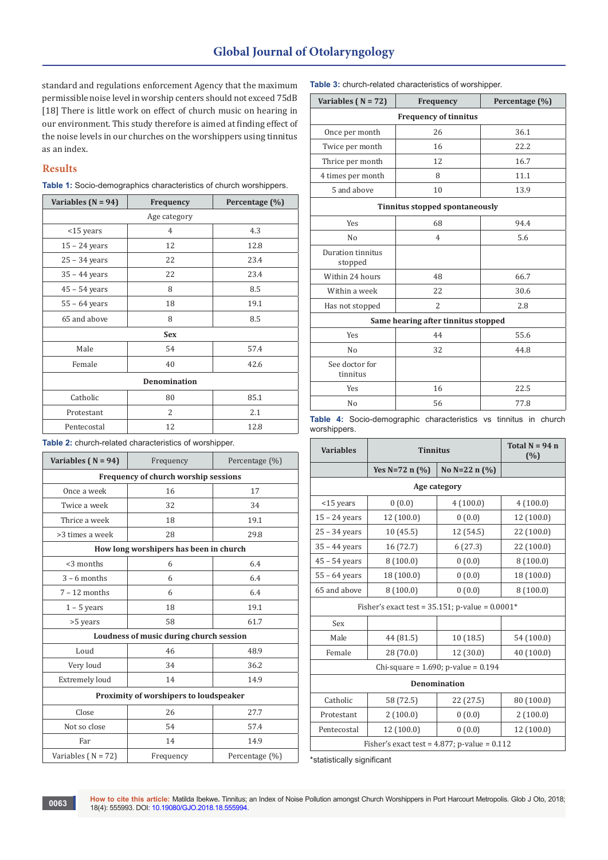# **Global Journal of Otolaryngology**

standard and regulations enforcement Agency that the maximum permissible noise level in worship centers should not exceed 75dB [18] There is little work on effect of church music on hearing in our environment. This study therefore is aimed at finding effect of the noise levels in our churches on the worshippers using tinnitus as an index.

# **Results**

| Table 1: Socio-demographics characteristics of church worshippers. |  |  |  |
|--------------------------------------------------------------------|--|--|--|
|--------------------------------------------------------------------|--|--|--|

| Variables ( $N = 94$ ) | Frequency      | Percentage (%) |  |
|------------------------|----------------|----------------|--|
| Age category           |                |                |  |
| $<$ 15 years           | $\overline{4}$ | 4.3            |  |
| $15 - 24$ years        | 12             | 12.8           |  |
| $25 - 34$ years        | 22             | 23.4           |  |
| $35 - 44$ years        | 22             | 23.4           |  |
| $45 - 54$ years        | 8              | 8.5            |  |
| $55 - 64$ years        | 18             | 19.1           |  |
| 65 and above           | 8              | 8.5            |  |
| <b>Sex</b>             |                |                |  |
| Male                   | 54             | 57.4           |  |
| Female                 | 40             | 42.6           |  |
| <b>Denomination</b>    |                |                |  |
| Catholic               | 80             | 85.1           |  |
| Protestant             | 2              | 2.1            |  |
| Pentecostal            | 12             | 12.8           |  |

**Table 2:** church-related characteristics of worshipper.

| Variables ( $N = 94$ )                 | Frequency                               | Percentage (%) |  |
|----------------------------------------|-----------------------------------------|----------------|--|
| Frequency of church worship sessions   |                                         |                |  |
| Once a week                            | 16                                      | 17             |  |
| Twice a week                           | 32                                      | 34             |  |
| Thrice a week                          | 18                                      | 19.1           |  |
| >3 times a week                        | 28                                      | 29.8           |  |
|                                        | How long worshipers has been in church  |                |  |
| <3 months                              | 6                                       | 6.4            |  |
| $3 - 6$ months                         | 6                                       | 6.4            |  |
| $7 - 12$ months                        | 6                                       | 6.4            |  |
| $1 - 5$ years                          | 18                                      | 19.1           |  |
| >5 years                               | 58                                      | 61.7           |  |
|                                        | Loudness of music during church session |                |  |
| Loud                                   | 46                                      | 48.9           |  |
| Very loud                              | 34                                      | 36.2           |  |
| <b>Extremely loud</b>                  | 14                                      | 14.9           |  |
| Proximity of worshipers to loudspeaker |                                         |                |  |
| Close                                  | 26                                      | 27.7           |  |
| Not so close                           | 54                                      | 57.4           |  |
| Far                                    | 14                                      | 14.9           |  |
| Variables $(N = 72)$                   | Frequency                               | Percentage (%) |  |

**Table 3:** church-related characteristics of worshipper.

| Variables ( $N = 72$ )              | Frequency                      | Percentage (%) |  |  |
|-------------------------------------|--------------------------------|----------------|--|--|
|                                     | <b>Frequency of tinnitus</b>   |                |  |  |
| Once per month                      | 26                             | 36.1           |  |  |
| Twice per month                     | 16                             | 22.2           |  |  |
| Thrice per month                    | 12                             | 16.7           |  |  |
| 4 times per month                   | 8                              | 11.1           |  |  |
| 5 and above                         | 10                             | 13.9           |  |  |
|                                     | Tinnitus stopped spontaneously |                |  |  |
| Yes                                 | 68                             | 94.4           |  |  |
| No                                  | $\overline{4}$                 | 5.6            |  |  |
| Duration tinnitus<br>stopped        |                                |                |  |  |
| Within 24 hours                     | 48                             | 66.7           |  |  |
| Within a week                       | 22                             | 30.6           |  |  |
| Has not stopped                     | $\overline{2}$                 | 2.8            |  |  |
| Same hearing after tinnitus stopped |                                |                |  |  |
| Yes                                 | 44                             | 55.6           |  |  |
| No                                  | 32                             | 44.8           |  |  |
| See doctor for<br>tinnitus          |                                |                |  |  |
| Yes                                 | 16                             | 22.5           |  |  |
| No                                  | 56                             | 77.8           |  |  |

**Table 4:** Socio-demographic characteristics vs tinnitus in church worshippers.

| <b>Variables</b>                                     | <b>Tinnitus</b>      |                                          | Total $N = 94$ n<br>(%) |
|------------------------------------------------------|----------------------|------------------------------------------|-------------------------|
|                                                      | Yes $N=72$ n $(\% )$ | No $N=22$ n $(%)$                        |                         |
|                                                      |                      | Age category                             |                         |
| <15 years                                            | 0(0.0)               | 4(100.0)                                 | 4(100.0)                |
| $15 - 24$ years                                      | 12 (100.0)           | 0(0.0)                                   | 12 (100.0)              |
| $25 - 34$ years                                      | 10(45.5)             | 12 (54.5)                                | 22 (100.0)              |
| $35 - 44$ years                                      | 16 (72.7)            | 6(27.3)                                  | 22 (100.0)              |
| $45 - 54$ years                                      | 8(100.0)             | 0(0.0)                                   | 8(100.0)                |
| $55 - 64$ years                                      | 18 (100.0)           | 0(0.0)                                   | 18 (100.0)              |
| 65 and above                                         | 8(100.0)             | 0(0.0)                                   | 8(100.0)                |
| Fisher's exact test = $35.151$ ; p-value = $0.0001*$ |                      |                                          |                         |
| Sex                                                  |                      |                                          |                         |
| Male                                                 | 44 (81.5)            | 10(18.5)                                 | 54 (100.0)              |
| Female                                               | 28 (70.0)            | 12 (30.0)                                | 40 (100.0)              |
|                                                      |                      | Chi-square = $1.690$ ; p-value = $0.194$ |                         |
| <b>Denomination</b>                                  |                      |                                          |                         |
| Catholic                                             | 58 (72.5)            | 22 (27.5)                                | 80 (100.0)              |
| Protestant                                           | 2(100.0)             | 0(0.0)                                   | 2(100.0)                |
| Pentecostal                                          | 12 (100.0)           | 0(0.0)                                   | 12 (100.0)              |
| Fisher's exact test = $4.877$ ; p-value = $0.112$    |                      |                                          |                         |

\*statistically significant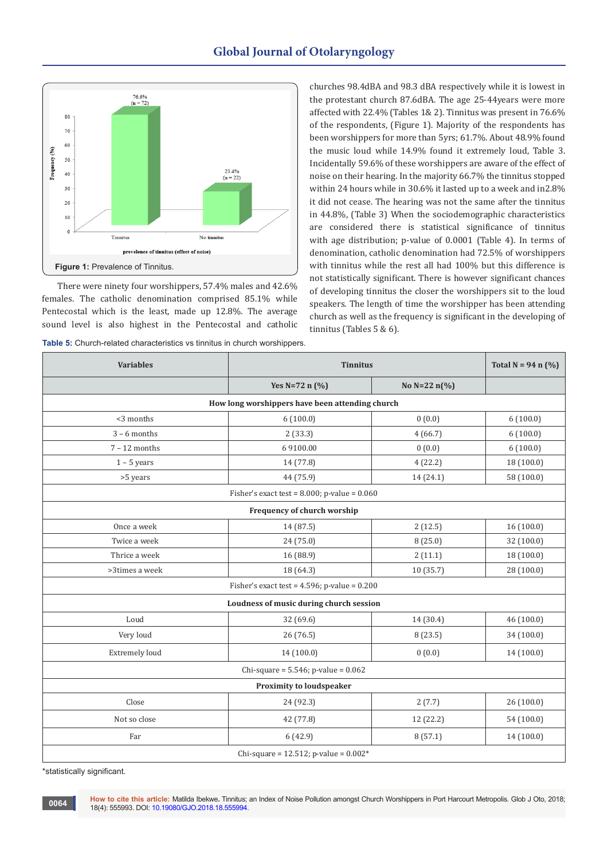

There were ninety four worshippers, 57.4% males and 42.6% females. The catholic denomination comprised 85.1% while Pentecostal which is the least, made up 12.8%. The average sound level is also highest in the Pentecostal and catholic

| Table 5: Church-related characteristics vs tinnitus in church worshippers. |  |
|----------------------------------------------------------------------------|--|
|----------------------------------------------------------------------------|--|

churches 98.4dBA and 98.3 dBA respectively while it is lowest in the protestant church 87.6dBA. The age 25-44years were more affected with 22.4% (Tables 1& 2). Tinnitus was present in 76.6% of the respondents, (Figure 1). Majority of the respondents has been worshippers for more than 5yrs; 61.7%. About 48.9% found the music loud while 14.9% found it extremely loud, Table 3. Incidentally 59.6% of these worshippers are aware of the effect of noise on their hearing. In the majority 66.7% the tinnitus stopped within 24 hours while in 30.6% it lasted up to a week and in2.8% it did not cease. The hearing was not the same after the tinnitus in 44.8%, (Table 3) When the sociodemographic characteristics are considered there is statistical significance of tinnitus with age distribution; p-value of 0.0001 (Table 4). In terms of denomination, catholic denomination had 72.5% of worshippers with tinnitus while the rest all had 100% but this difference is not statistically significant. There is however significant chances of developing tinnitus the closer the worshippers sit to the loud speakers. The length of time the worshipper has been attending church as well as the frequency is significant in the developing of tinnitus (Tables 5 & 6).

| <b>Variables</b>                                  | <b>Tinnitus</b>                                   |               | Total $N = 94$ n $(\% )$ |
|---------------------------------------------------|---------------------------------------------------|---------------|--------------------------|
|                                                   | Yes $N=72$ n $(\% )$                              | No $N=22 n(%$ |                          |
|                                                   | How long worshippers have been attending church   |               |                          |
| <3 months                                         | 6(100.0)                                          | 0(0.0)        | 6(100.0)                 |
| $3 - 6$ months                                    | 2(33.3)                                           | 4(66.7)       | 6(100.0)                 |
| $7 - 12$ months                                   | 69100.00                                          | 0(0.0)        | 6(100.0)                 |
| $1 - 5$ years                                     | 14 (77.8)                                         | 4(22.2)       | 18 (100.0)               |
| >5 years                                          | 44 (75.9)                                         | 14 (24.1)     | 58 (100.0)               |
|                                                   | Fisher's exact test = $8.000$ ; p-value = $0.060$ |               |                          |
|                                                   | Frequency of church worship                       |               |                          |
| Once a week                                       | 14 (87.5)                                         | 2(12.5)       | 16(100.0)                |
| Twice a week                                      | 24(75.0)                                          | 8(25.0)       | 32 (100.0)               |
| Thrice a week                                     | 16 (88.9)                                         | 2(11.1)       | 18 (100.0)               |
| >3times a week                                    | 18 (64.3)                                         | 10(35.7)      | 28 (100.0)               |
| Fisher's exact test = $4.596$ ; p-value = $0.200$ |                                                   |               |                          |
|                                                   | Loudness of music during church session           |               |                          |
| Loud                                              | 32 (69.6)                                         | 14 (30.4)     | 46 (100.0)               |
| Very loud                                         | 26(76.5)                                          | 8(23.5)       | 34 (100.0)               |
| <b>Extremely loud</b>                             | 14(100.0)                                         | 0(0.0)        | 14(100.0)                |
|                                                   | Chi-square = $5.546$ ; p-value = $0.062$          |               |                          |
| <b>Proximity to loudspeaker</b>                   |                                                   |               |                          |
| Close                                             | 24 (92.3)                                         | 2(7.7)        | 26(100.0)                |
| Not so close                                      | 42 (77.8)                                         | 12 (22.2)     | 54(100.0)                |
| Far                                               | 6(42.9)                                           | 8(57.1)       | 14 (100.0)               |
| Chi-square = $12.512$ ; p-value = $0.002*$        |                                                   |               |                          |

\*statistically significant.

**How to cite this article:** Matilda Ibekwe**.** Tinnitus; an Index of Noise Pollution amongst Church Worshippers in Port Harcourt Metropolis. Glob J Oto, 2018; 18(4): 555993. DOI: [10.19080/GJO.2018.18.555994](http://dx.doi.org/10.19080/GJO.2018.18.555994).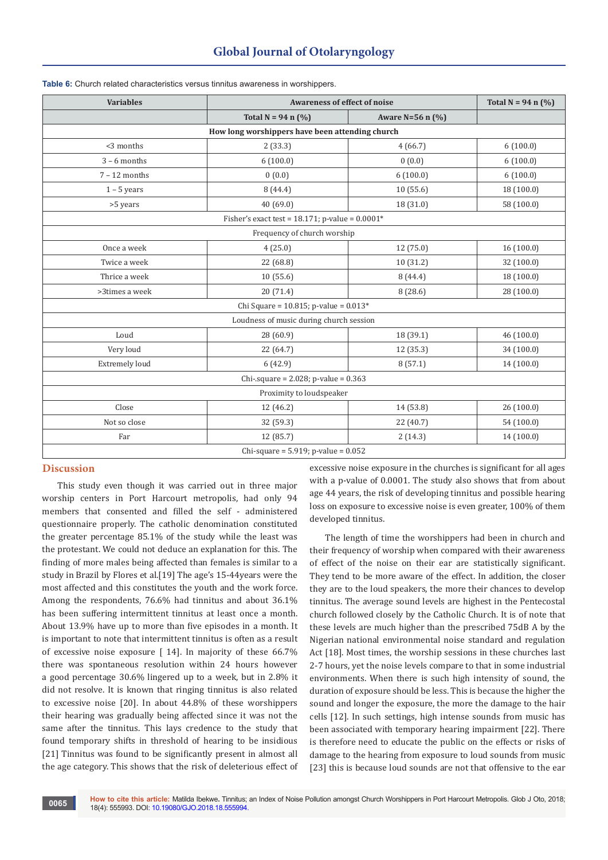| <b>Variables</b>                           | <b>Awareness of effect of noise</b>                  |                      | Total $N = 94$ n $(\% )$ |
|--------------------------------------------|------------------------------------------------------|----------------------|--------------------------|
|                                            | Total $N = 94$ n $(\%)$                              | Aware N=56 n $(\% )$ |                          |
|                                            | How long worshippers have been attending church      |                      |                          |
| <3 months                                  | 2(33.3)                                              | 4(66.7)              | 6(100.0)                 |
| $3 - 6$ months                             | 6(100.0)                                             | 0(0.0)               | 6(100.0)                 |
| $7 - 12$ months                            | 0(0.0)                                               | 6(100.0)             | 6(100.0)                 |
| $1 - 5$ years                              | 8(44.4)                                              | 10(55.6)             | 18 (100.0)               |
| >5 years                                   | 40 (69.0)                                            | 18 (31.0)            | 58 (100.0)               |
|                                            | Fisher's exact test = $18.171$ ; p-value = $0.0001*$ |                      |                          |
|                                            | Frequency of church worship                          |                      |                          |
| Once a week                                | 4(25.0)                                              | 12(75.0)             | 16(100.0)                |
| Twice a week                               | 22 (68.8)                                            | 10(31.2)             | 32 (100.0)               |
| Thrice a week                              | 10(55.6)                                             | 8(44.4)              | 18 (100.0)               |
| >3times a week                             | 20(71.4)                                             | 8(28.6)              | 28 (100.0)               |
| Chi Square = $10.815$ ; p-value = $0.013*$ |                                                      |                      |                          |
| Loudness of music during church session    |                                                      |                      |                          |
| Loud                                       | 28 (60.9)                                            | 18 (39.1)            | 46 (100.0)               |
| Very loud                                  | 22 (64.7)                                            | 12(35.3)             | 34 (100.0)               |
| <b>Extremely loud</b>                      | 6(42.9)                                              | 8(57.1)              | 14 (100.0)               |
| Chi-.square = $2.028$ ; p-value = $0.363$  |                                                      |                      |                          |
| Proximity to loudspeaker                   |                                                      |                      |                          |
| Close                                      | 12 (46.2)                                            | 14 (53.8)            | 26(100.0)                |
| Not so close                               | 32 (59.3)                                            | 22 (40.7)            | 54 (100.0)               |
| Far                                        | 12 (85.7)                                            | 2(14.3)              | 14 (100.0)               |
| Chi-square = $5.919$ ; p-value = $0.052$   |                                                      |                      |                          |

#### **Table 6:** Church related characteristics versus tinnitus awareness in worshippers.

## **Discussion**

This study even though it was carried out in three major worship centers in Port Harcourt metropolis, had only 94 members that consented and filled the self - administered questionnaire properly. The catholic denomination constituted the greater percentage 85.1% of the study while the least was the protestant. We could not deduce an explanation for this. The finding of more males being affected than females is similar to a study in Brazil by Flores et al.[19] The age's 15-44years were the most affected and this constitutes the youth and the work force. Among the respondents, 76.6% had tinnitus and about 36.1% has been suffering intermittent tinnitus at least once a month. About 13.9% have up to more than five episodes in a month. It is important to note that intermittent tinnitus is often as a result of excessive noise exposure [ 14]. In majority of these 66.7% there was spontaneous resolution within 24 hours however a good percentage 30.6% lingered up to a week, but in 2.8% it did not resolve. It is known that ringing tinnitus is also related to excessive noise [20]. In about 44.8% of these worshippers their hearing was gradually being affected since it was not the same after the tinnitus. This lays credence to the study that found temporary shifts in threshold of hearing to be insidious [21] Tinnitus was found to be significantly present in almost all the age category. This shows that the risk of deleterious effect of excessive noise exposure in the churches is significant for all ages with a p-value of 0.0001. The study also shows that from about age 44 years, the risk of developing tinnitus and possible hearing loss on exposure to excessive noise is even greater, 100% of them developed tinnitus.

The length of time the worshippers had been in church and their frequency of worship when compared with their awareness of effect of the noise on their ear are statistically significant. They tend to be more aware of the effect. In addition, the closer they are to the loud speakers, the more their chances to develop tinnitus. The average sound levels are highest in the Pentecostal church followed closely by the Catholic Church. It is of note that these levels are much higher than the prescribed 75dB A by the Nigerian national environmental noise standard and regulation Act [18]. Most times, the worship sessions in these churches last 2-7 hours, yet the noise levels compare to that in some industrial environments. When there is such high intensity of sound, the duration of exposure should be less. This is because the higher the sound and longer the exposure, the more the damage to the hair cells [12]. In such settings, high intense sounds from music has been associated with temporary hearing impairment [22]. There is therefore need to educate the public on the effects or risks of damage to the hearing from exposure to loud sounds from music [23] this is because loud sounds are not that offensive to the ear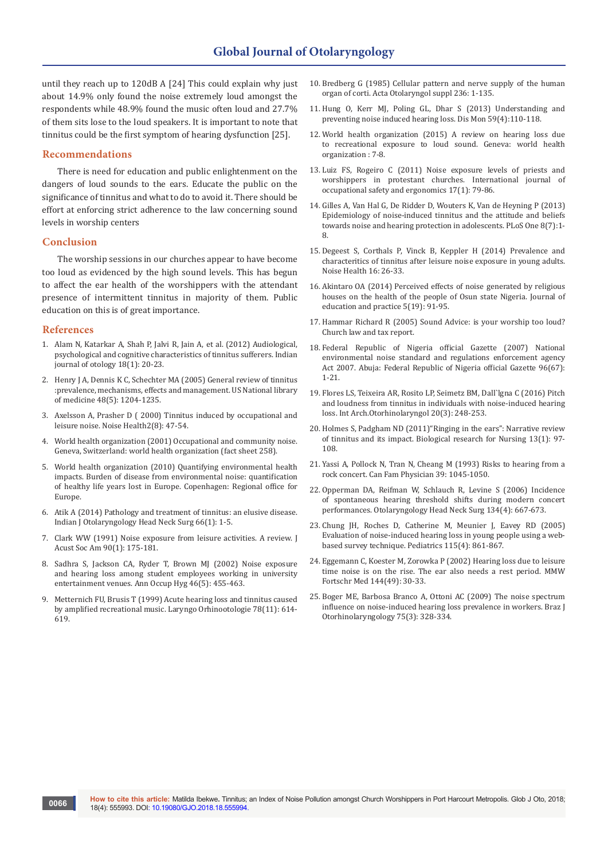until they reach up to 120dB A [24] This could explain why just about 14.9% only found the noise extremely loud amongst the respondents while 48.9% found the music often loud and 27.7% of them sits lose to the loud speakers. It is important to note that tinnitus could be the first symptom of hearing dysfunction [25].

#### **Recommendations**

There is need for education and public enlightenment on the dangers of loud sounds to the ears. Educate the public on the significance of tinnitus and what to do to avoid it. There should be effort at enforcing strict adherence to the law concerning sound levels in worship centers

#### **Conclusion**

The worship sessions in our churches appear to have become too loud as evidenced by the high sound levels. This has begun to affect the ear health of the worshippers with the attendant presence of intermittent tinnitus in majority of them. Public education on this is of great importance.

### **References**

**0066**

- 1. [Alam N, Katarkar A, Shah P, Jalvi R, Jain A, et al. \(2012\) Audiological,](http://www.indianjotol.org/article.asp?issn=0971-7749;year=2012;volume=18;issue=1;spage=20;epage=23;aulast=Alam)  [psychological and cognitive characteristics of tinnitus sufferers. Indian](http://www.indianjotol.org/article.asp?issn=0971-7749;year=2012;volume=18;issue=1;spage=20;epage=23;aulast=Alam)  [journal of otology 18\(1\): 20-23.](http://www.indianjotol.org/article.asp?issn=0971-7749;year=2012;volume=18;issue=1;spage=20;epage=23;aulast=Alam)
- 2. [Henry J A, Dennis K C, Schechter MA \(2005\) General review of tinnitus](https://www.ncbi.nlm.nih.gov/pubmed/16411806)  [:prevalence, mechanisms, effects and management. US National library](https://www.ncbi.nlm.nih.gov/pubmed/16411806)  [of medicine 48\(5\): 1204-1235.](https://www.ncbi.nlm.nih.gov/pubmed/16411806)
- 3. [Axelsson A, Prasher D \( 2000\) Tinnitus induced by occupational and](https://www.ncbi.nlm.nih.gov/pubmed/12689461)  [leisure noise. Noise Health2\(8\): 47-54.](https://www.ncbi.nlm.nih.gov/pubmed/12689461)
- 4. [World health organization \(2001\) Occupational and community noise.](https://www.who.int/quantifying_ehimpacts/publications/en/ebd9.pdf)  [Geneva, Switzerland: world health organization \(fact sheet 258\).](https://www.who.int/quantifying_ehimpacts/publications/en/ebd9.pdf)
- 5. [World health organization \(2010\) Quantifying environmental health](http://www.euro.who.int/__data/assets/pdf_file/0008/136466/e94888.pdf)  [impacts. Burden of disease from environmental noise: quantification](http://www.euro.who.int/__data/assets/pdf_file/0008/136466/e94888.pdf)  [of healthy life years lost in Europe. Copenhagen: Regional office for](http://www.euro.who.int/__data/assets/pdf_file/0008/136466/e94888.pdf)  [Europe.](http://www.euro.who.int/__data/assets/pdf_file/0008/136466/e94888.pdf)
- 6. [Atik A \(2014\) Pathology and treatment of tinnitus: an elusive disease.](https://www.ncbi.nlm.nih.gov/pubmed/24533352/)  [Indian J Otolaryngology Head Neck Surg 66\(1\): 1-5.](https://www.ncbi.nlm.nih.gov/pubmed/24533352/)
- 7. [Clark WW \(1991\) Noise exposure from leisure activities. A review. J](https://www.ncbi.nlm.nih.gov/pubmed/1880286)  [Acust Soc Am 90\(1\): 175-181.](https://www.ncbi.nlm.nih.gov/pubmed/1880286)
- 8. [Sadhra S, Jackson CA, Ryder T, Brown MJ \(2002\) Noise exposure](https://www.ncbi.nlm.nih.gov/pubmed/12176760)  [and hearing loss among student employees working in university](https://www.ncbi.nlm.nih.gov/pubmed/12176760)  [entertainment venues. Ann Occup Hyg 46\(5\): 455-463.](https://www.ncbi.nlm.nih.gov/pubmed/12176760)
- 9. [Metternich FU, Brusis T \(1999\) Acute hearing loss and tinnitus caused](https://www.ncbi.nlm.nih.gov/pubmed/10615655)  [by amplified recreational music. Laryngo Orhinootologie 78\(11\): 614-](https://www.ncbi.nlm.nih.gov/pubmed/10615655) [619.](https://www.ncbi.nlm.nih.gov/pubmed/10615655)
- 10. [Bredberg G \(1985\) Cellular pattern and nerve supply of the human](https://www.ncbi.nlm.nih.gov/pubmed/4886545)  [organ of corti. Acta Otolaryngol suppl 236: 1-135.](https://www.ncbi.nlm.nih.gov/pubmed/4886545)
- 11. [Hung O, Kerr MJ, Poling GL, Dhar S \(2013\) Understanding and](https://www.ncbi.nlm.nih.gov/pubmed/23507351)  [preventing noise induced hearing loss. Dis Mon 59\(4\):110-118.](https://www.ncbi.nlm.nih.gov/pubmed/23507351)
- 12. [World health organization \(2015\) A review on hearing loss due](http://apps.who.int/iris/handle/10665/154589)  [to recreational exposure to loud sound. Geneva: world health](http://apps.who.int/iris/handle/10665/154589)  [organization : 7-8.](http://apps.who.int/iris/handle/10665/154589)
- 13. [Luiz FS, Rogeiro C \(2011\) Noise exposure levels of priests and](https://www.tandfonline.com/doi/abs/10.1080/10803548.2011.11076872)  [worshippers in protestant churches. International journal of](https://www.tandfonline.com/doi/abs/10.1080/10803548.2011.11076872)  [occupational safety and ergonomics 17\(1\): 79-86.](https://www.tandfonline.com/doi/abs/10.1080/10803548.2011.11076872)
- 14. [Gilles A, Van Hal G, De Ridder D, Wouters K, Van de Heyning P \(2013\)](https://journals.plos.org/plosone/article?id=10.1371/journal.pone.0070297)  [Epidemiology of noise-induced tinnitus and the attitude and beliefs](https://journals.plos.org/plosone/article?id=10.1371/journal.pone.0070297)  [towards noise and hearing protection in adolescents. PLoS One 8\(7\):1-](https://journals.plos.org/plosone/article?id=10.1371/journal.pone.0070297) [8.](https://journals.plos.org/plosone/article?id=10.1371/journal.pone.0070297)
- 15. [Degeest S, Corthals P, Vinck B, Keppler H \(2014\) Prevalence and](https://www.ncbi.nlm.nih.gov/pubmed/24583677)  [characteritics of tinnitus after leisure noise exposure in young adults.](https://www.ncbi.nlm.nih.gov/pubmed/24583677)  [Noise Health 16: 26-33.](https://www.ncbi.nlm.nih.gov/pubmed/24583677)
- 16. [Akintaro OA \(2014\) Perceived effects of noise generated by religious](https://www.iiste.org/Journals/index.php/JEP/article/viewFile/13950/14321)  [houses on the health of the people of Osun state Nigeria. Journal of](https://www.iiste.org/Journals/index.php/JEP/article/viewFile/13950/14321)  [education and practice 5\(19\): 91-95.](https://www.iiste.org/Journals/index.php/JEP/article/viewFile/13950/14321)
- 17. [Hammar Richard R \(2005\) Sound Advice: is your worship too loud?](https://www.churchlawandtax.com/cltr/2005/november-december/sound-advice-is-your-worship-too-loud.html)  [Church law and tax report.](https://www.churchlawandtax.com/cltr/2005/november-december/sound-advice-is-your-worship-too-loud.html)
- 18. [Federal Republic of Nigeria official Gazette \(2007\) National](http://extwprlegs1.fao.org/docs/pdf/nig120569.pdf)  [environmental noise standard and regulations enforcement agency](http://extwprlegs1.fao.org/docs/pdf/nig120569.pdf)  [Act 2007. Abuja: Federal Republic of Nigeria official Gazette 96\(67\):](http://extwprlegs1.fao.org/docs/pdf/nig120569.pdf)  [1-21.](http://extwprlegs1.fao.org/docs/pdf/nig120569.pdf)
- 19. [Flores LS, Teixeira AR, Rosito LP, Seimetz BM, Dall`lgna C \(2016\) Pitch](https://www.ncbi.nlm.nih.gov/pubmed/27413408/)  [and loudness from tinnitus in individuals with noise-induced hearing](https://www.ncbi.nlm.nih.gov/pubmed/27413408/)  [loss. Int Arch.Otorhinolaryngol 20\(3\): 248-253.](https://www.ncbi.nlm.nih.gov/pubmed/27413408/)
- 20. [Holmes S, Padgham ND \(2011\)"Ringing in the ears": Narrative review](https://journals.sagepub.com/doi/abs/10.1177/1099800410382290)  [of tinnitus and its impact. Biological research for Nursing 13\(1\): 97-](https://journals.sagepub.com/doi/abs/10.1177/1099800410382290) [108.](https://journals.sagepub.com/doi/abs/10.1177/1099800410382290)
- 21. [Yassi A, Pollock N, Tran N, Cheang M \(1993\) Risks to hearing from a](https://www.ncbi.nlm.nih.gov/pubmed/8499785/)  [rock concert. Can Fam Physician 39: 1045-1050.](https://www.ncbi.nlm.nih.gov/pubmed/8499785/)
- 22. [Opperman DA, Reifman W, Schlauch R, Levine S \(2006\) Incidence](https://www.ncbi.nlm.nih.gov/pubmed/16564394)  [of spontaneous hearing threshold shifts during modern concert](https://www.ncbi.nlm.nih.gov/pubmed/16564394)  [performances. Otolaryngology Head Neck Surg 134\(4\): 667-673.](https://www.ncbi.nlm.nih.gov/pubmed/16564394)
- 23. [Chung JH, Roches D, Catherine M, Meunier J, Eavey RD \(2005\)](https://www.ncbi.nlm.nih.gov/pubmed/15805356)  [Evaluation of noise-induced hearing loss in young people using a web](https://www.ncbi.nlm.nih.gov/pubmed/15805356)[based survey technique. Pediatrics 115\(4\): 861-867.](https://www.ncbi.nlm.nih.gov/pubmed/15805356)
- 24. [Eggemann C, Koester M, Zorowka P \(2002\) Hearing loss due to leisure](https://www.ncbi.nlm.nih.gov/pubmed/12577736)  [time noise is on the rise. The ear also needs a rest period. MMW](https://www.ncbi.nlm.nih.gov/pubmed/12577736)  [Fortschr Med 144\(49\): 30-33.](https://www.ncbi.nlm.nih.gov/pubmed/12577736)
- 25. [Boger ME, Barbosa Branco A, Ottoni AC \(2009\) The noise spectrum](https://www.ncbi.nlm.nih.gov/pubmed/19649479)  [influence on noise-induced hearing loss prevalence in workers. Braz J](https://www.ncbi.nlm.nih.gov/pubmed/19649479)  [Otorhinolaryngology 75\(3\): 328-334.](https://www.ncbi.nlm.nih.gov/pubmed/19649479)